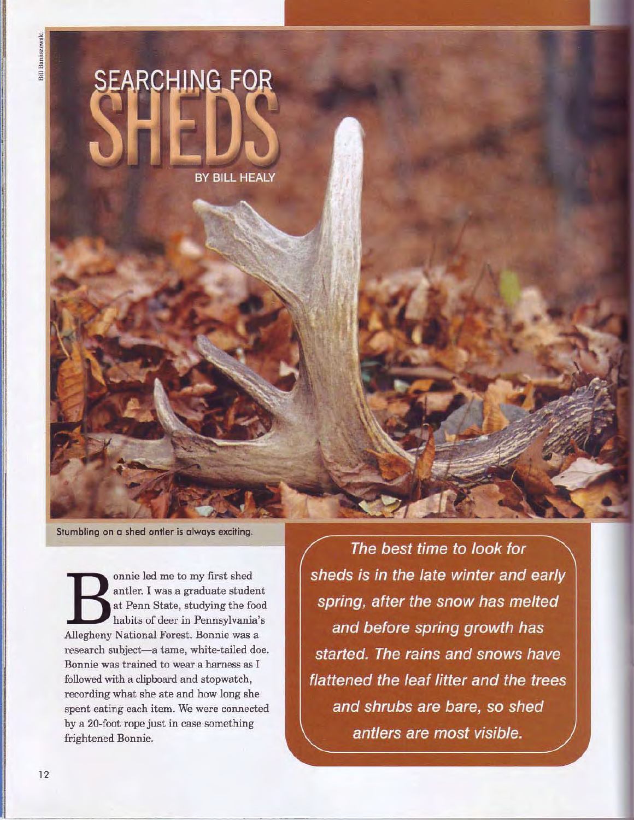

**Stumbling on a shed antler is always exciting.** 

**Bonnie led me to my first shed antler. I was a graduate studen at Penn State, studying the food habits of deer in Pennsylvania'**<br>Allegheny National Forest. Bonnie was a antler. I was a graduate student at Penn State, studying the food habits of deer in Pennsylvania's research subject-a tame, white-tailed doe. Bonnie was trained to wear a harness as I followed with a clipboard and stopwatch, recording what she ate and how long she spent eating each item. We were connected by a 20-foot rope just in case something frightened Bonnie.

The best time to look for sheds is in the late winter and early spring, after the snow has melted and before spring growth has started. The rains and snows have flattened the leaf litter and the trees and shrubs are bare, so shed antlers are most visible.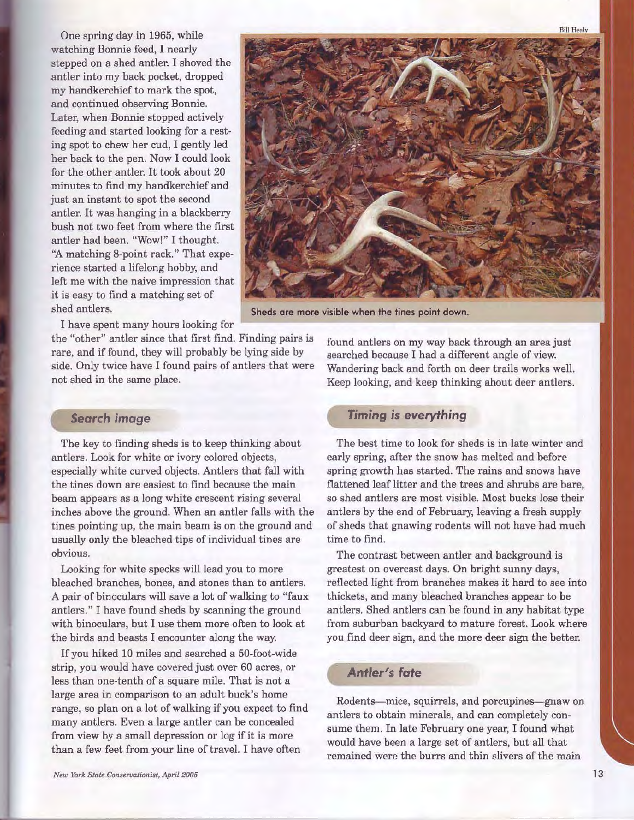One spring day in 1965, while watching Bonnie feed, I nearly stepped on a shed antler. I shoved the antler into my back pocket, dropped my handkerchief to mark the spot, and continued observing Bonnie. Later, when Bonnie stopped actively feeding and started looking for a resting spot to chew her cud, I gently led her back to the pen. Now I could look for the other antler. It took about 20 minutes to find my handkerchief and just an instant to spot the second antler. It was hanging in a blackberry bush not two feet from where the first antler had been. "Wow!" I thought. "A matching 8-point rack." That experience started a lifelong hobby, and left me with the naive impression that it is easy to find a matching set of shed antlers. **Sheds are more visible when the tines point down.** 



I have spent many hours looking for

the "other" antler since that first find. Finding pairs is rare, and if found, they will probably be lying side by side. Only twice have I found pairs of antlers that were not shed in the same place.

## **Search** *image*

The key to finding sheds is to keep thinking about antlers. Look for white or ivory colored objects, especially white curved objects. Antlers that fall with the tines down are easiest to find because the main beam appears as a long white crescent rising several inches above the ground. When an antler falls with the tines pointing up, the main beam is on the ground and usually only the bleached tips of individual tines are obvious.

Looking for white specks will lead you to more bleached branches, bones, and stones than to antlers. A pair of binoculars will save a lot of walking to "faux" antlers." I have found sheds by scanning the ground with binoculars, but I use them more often to look at the birds and beasts I encounter along the way.

If you hiked 10 miles and searched a 50-foot-wide strip, you would have covered just over 60 acres, or less than one-tenth of a square mile. That is not a large area in comparison to an adult buck's home range, so plan on a lot of walking if you expect to find many antlers. Even a large antler can be concealed from view by a small depression or log if it is more than a few feet from your line of travel. I have often

found antlers on my way back through an area just searched because I had a different angle of view. Wandering back and forth on deer trails works well. Keep looking, and keep thinking about deer antlers.

## *Timing is everything*

The best time to look for sheds is in late winter and early spring, after the snow has melted and before spring growth has started. The rains and snows have flattened leaf litter and the trees and shrubs are bare, so shed antlers are most visible. Most bucks lose their antlers by the end of February, leaving a fresh supply of sheds that gnawing rodents will not have had much time to find.

The contrast between antler and background is greatest on overcast days. On bright sunny days, reflected light from branches makes it hard to see into thickets, and many bleached branches appear to be antlers. Shed antlers can be found in any habitat type from suburban backyard to mature forest. Look where you find deer sign, and the more deer sign the better.

## *Antler's fate*

Rodents-mice, squirrels, and porcupines-gnaw on antlers to obtain minerals, and can completely consume them. In late February one year, I found what would have been a large set of antlers, but all that remained were the burrs and thin slivers of the main